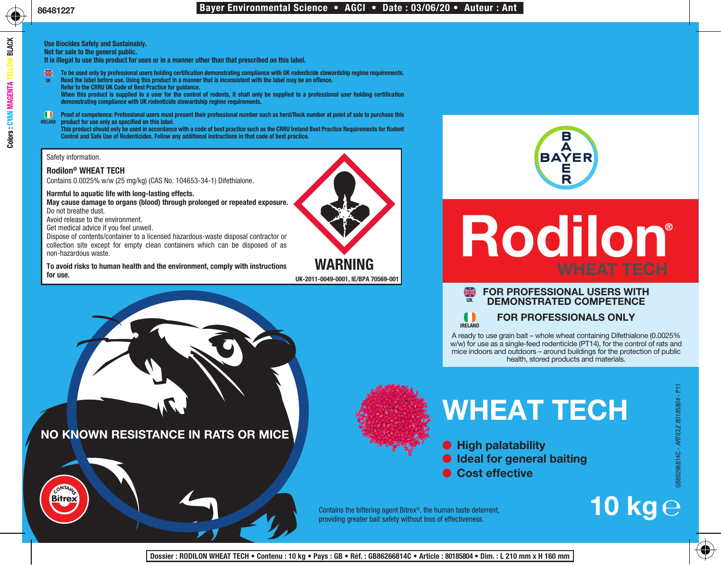**Use Biocides Safely and Sustainably.**

**Not for sale to the general public.**

**It is illegal to use this product for uses or in a manner other than that prescribed on this label.**

- **To be used only by professional users holding certification demonstrating compliance with UK rodenticide stewardship regime requirements.**
- **Read the label before use. Using this product in a manner that is inconsistent with the label may be an offence. Refer to the CRRU UK Code of Best Practice for guidance. When this product is supplied to a user for the control of rodents, it shall only be supplied to a professional user holding certification demonstrating compliance with UK rodenticide stewardship regime requirements. UK**
- **Proof of competence: Professional users must present their professional number such as herd/flock number at point of sale to purchase this product for use only as specified on this label. IRELAND**

**This product should only be used in accordance with a code of best practice such as the CRRU Ireland Best Practice Requirements for Rodent Control and Safe Use of Rodenticides. Follow any additional instructions in that code of best practice.**

Safety information.

# **Rodilon® WHEAT TECH**

Contains 0.0025% w/w (25 mg/kg) (CAS No. 104653-34-1) Difethialone.

# **Harmful to aquatic life with long-lasting effects.**

**May cause damage to organs (blood) through prolonged or repeated exposure.**

Do not breathe dust.

Avoid release to the environment.

Get medical advice if you feel unwell.

Dispose of contents/container to a licensed hazardous-waste disposal contractor or collection site except for empty clean containers which can be disposed of as non-hazardous waste.

**To avoid risks to human health and the environment, comply with instructions** 



**for use. UK-2011-0049-0001, IE/BPA 70569-001**





# **Rodilon®**

#### **FOR PROFESSIONAL USERS WITH DEMONSTRATED COMPETENCE UK**

**IRELAND**

**FOR PROFESSIONALS ONLY**

A ready to use grain bait – whole wheat containing Difethialone (0.0025% w/w) for use as a single-feed rodenticide (PT14), for the control of rats and mice indoors and outdoors – around buildings for the protection of public health, stored products and materials.



# **WHEAT TECH**

**High palatability**  $\bullet$  Ideal for general baiting **Cost effective**

**10 kg**

Contains the bittering agent Bitrex®, the human taste deterrent, providing greater bait safety without loss of effectiveness.